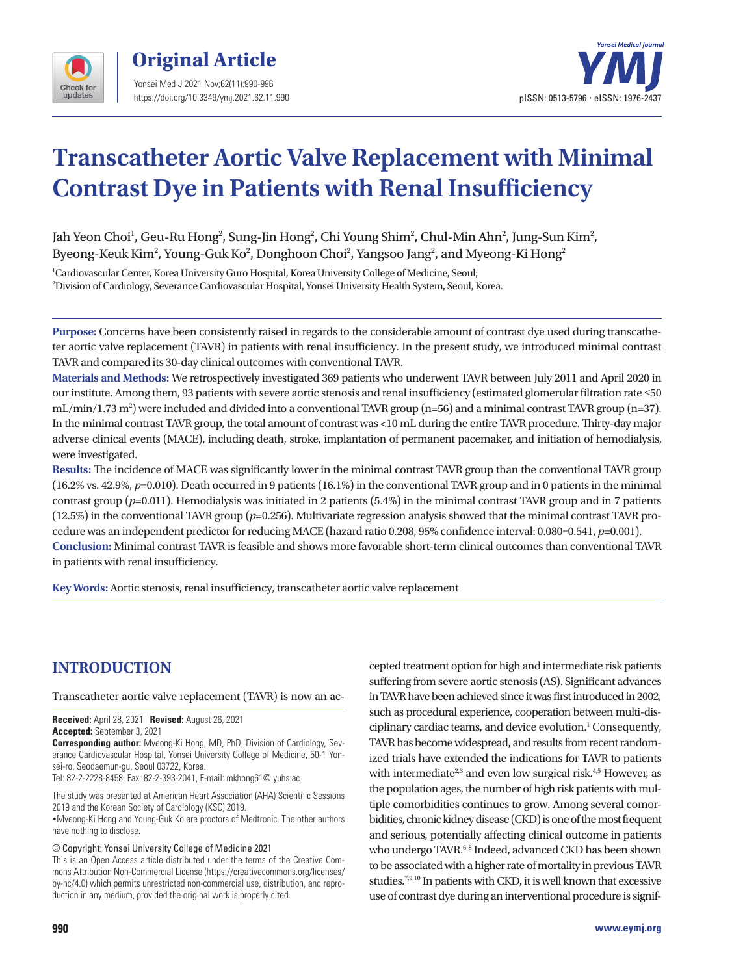



# **Transcatheter Aortic Valve Replacement with Minimal Contrast Dye in Patients with Renal Insufficiency**

Jah Yeon Choi<sup>1</sup>, Geu-Ru Hong $^2$ , Sung-Jin Hong $^2$ , Chi Young Shim $^2$ , Chul-Min Ahn $^2$ , Jung-Sun Kim $^2$ , Byeong-Keuk Kim<sup>2</sup>, Young-Guk Ko<sup>2</sup>, Donghoon Choi<sup>2</sup>, Yangsoo Jang<sup>2</sup>, and Myeong-Ki Hong<sup>2</sup>

1 Cardiovascular Center, Korea University Guro Hospital, Korea University College of Medicine, Seoul; 2 Division of Cardiology, Severance Cardiovascular Hospital, Yonsei University Health System, Seoul, Korea.

**Purpose:** Concerns have been consistently raised in regards to the considerable amount of contrast dye used during transcatheter aortic valve replacement (TAVR) in patients with renal insufficiency. In the present study, we introduced minimal contrast TAVR and compared its 30-day clinical outcomes with conventional TAVR.

**Materials and Methods:** We retrospectively investigated 369 patients who underwent TAVR between July 2011 and April 2020 in our institute. Among them, 93 patients with severe aortic stenosis and renal insufficiency (estimated glomerular filtration rate ≤50 mL/min/1.73 m²) were included and divided into a conventional TAVR group (n=56) and a minimal contrast TAVR group (n=37). In the minimal contrast TAVR group, the total amount of contrast was <10 mL during the entire TAVR procedure. Thirty-day major adverse clinical events (MACE), including death, stroke, implantation of permanent pacemaker, and initiation of hemodialysis, were investigated.

**Results:** The incidence of MACE was significantly lower in the minimal contrast TAVR group than the conventional TAVR group (16.2% vs. 42.9%, *p*=0.010). Death occurred in 9 patients (16.1%) in the conventional TAVR group and in 0 patients in the minimal contrast group (*p*=0.011). Hemodialysis was initiated in 2 patients (5.4%) in the minimal contrast TAVR group and in 7 patients  $(12.5%)$  in the conventional TAVR group  $(p=0.256)$ . Multivariate regression analysis showed that the minimal contrast TAVR procedure was an independent predictor for reducing MACE (hazard ratio 0.208, 95% confidence interval: 0.080–0.541, *p*=0.001). **Conclusion:** Minimal contrast TAVR is feasible and shows more favorable short-term clinical outcomes than conventional TAVR in patients with renal insufficiency.

**Key Words:** Aortic stenosis, renal insufficiency, transcatheter aortic valve replacement

## **INTRODUCTION**

Transcatheter aortic valve replacement (TAVR) is now an ac-

**Received:** April 28, 2021 **Revised:** August 26, 2021 **Accepted:** September 3, 2021

**Corresponding author:** Myeong-Ki Hong, MD, PhD, Division of Cardiology, Severance Cardiovascular Hospital, Yonsei University College of Medicine, 50-1 Yonsei-ro, Seodaemun-gu, Seoul 03722, Korea.

Tel: 82-2-2228-8458, Fax: 82-2-393-2041, E-mail: mkhong61@ yuhs.ac

The study was presented at American Heart Association (AHA) Scientific Sessions 2019 and the Korean Society of Cardiology (KSC) 2019. •Myeong-Ki Hong and Young-Guk Ko are proctors of Medtronic. The other authors

have nothing to disclose.

#### © Copyright: Yonsei University College of Medicine 2021

This is an Open Access article distributed under the terms of the Creative Commons Attribution Non-Commercial License (https://creativecommons.org/licenses/ by-nc/4.0) which permits unrestricted non-commercial use, distribution, and reproduction in any medium, provided the original work is properly cited.

cepted treatment option for high and intermediate risk patients suffering from severe aortic stenosis (AS). Significant advances in TAVR have been achieved since it was first introduced in 2002, such as procedural experience, cooperation between multi-disciplinary cardiac teams, and device evolution.<sup>1</sup> Consequently, TAVR has become widespread, and results from recent randomized trials have extended the indications for TAVR to patients with intermediate<sup>2,3</sup> and even low surgical risk.<sup>4,5</sup> However, as the population ages, the number of high risk patients with multiple comorbidities continues to grow. Among several comorbidities, chronic kidney disease (CKD) is one of the most frequent and serious, potentially affecting clinical outcome in patients who undergo TAVR.6-8 Indeed, advanced CKD has been shown to be associated with a higher rate of mortality in previous TAVR studies.7,9,10 In patients with CKD, it is well known that excessive use of contrast dye during an interventional procedure is signif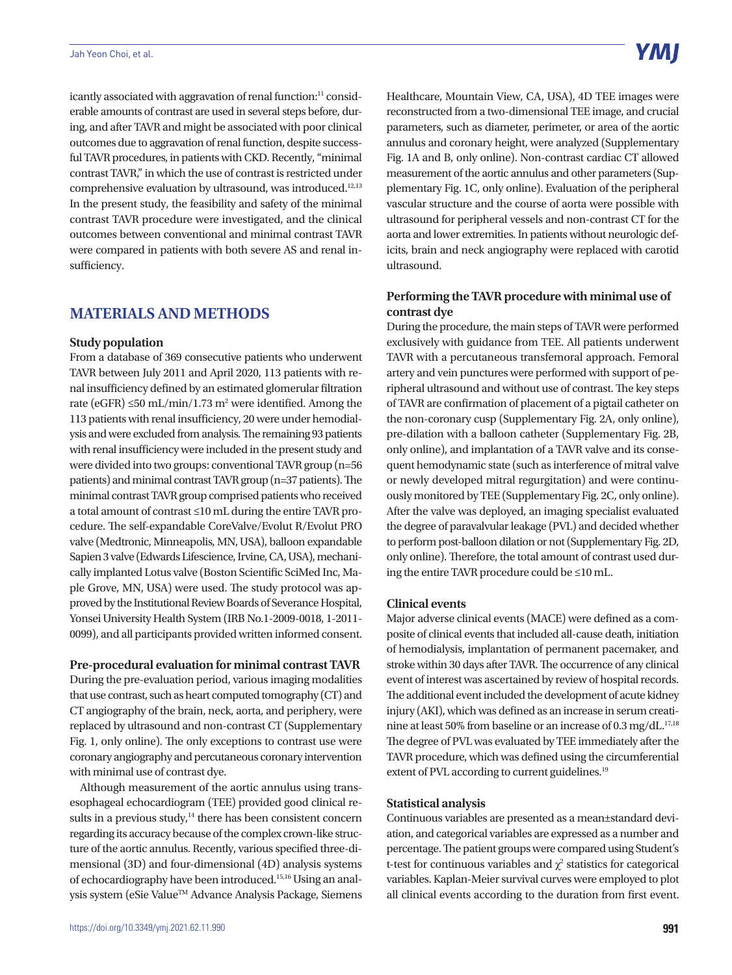icantly associated with aggravation of renal function:<sup>11</sup> considerable amounts of contrast are used in several steps before, during, and after TAVR and might be associated with poor clinical outcomes due to aggravation of renal function, despite successful TAVR procedures, in patients with CKD. Recently, "minimal contrast TAVR," in which the use of contrast is restricted under comprehensive evaluation by ultrasound, was introduced.<sup>12,13</sup> In the present study, the feasibility and safety of the minimal contrast TAVR procedure were investigated, and the clinical outcomes between conventional and minimal contrast TAVR were compared in patients with both severe AS and renal insufficiency.

### **MATERIALS AND METHODS**

#### **Study population**

From a database of 369 consecutive patients who underwent TAVR between July 2011 and April 2020, 113 patients with renal insufficiency defined by an estimated glomerular filtration rate (eGFR)  $\leq$ 50 mL/min/1.73 m<sup>2</sup> were identified. Among the 113 patients with renal insufficiency, 20 were under hemodialysis and were excluded from analysis. The remaining 93 patients with renal insufficiency were included in the present study and were divided into two groups: conventional TAVR group (n=56 patients) and minimal contrast TAVR group (n=37 patients). The minimal contrast TAVR group comprised patients who received a total amount of contrast ≤10 mL during the entire TAVR procedure. The self-expandable CoreValve/Evolut R/Evolut PRO valve (Medtronic, Minneapolis, MN, USA), balloon expandable Sapien 3 valve (Edwards Lifescience, Irvine, CA, USA), mechanically implanted Lotus valve (Boston Scientific SciMed Inc, Maple Grove, MN, USA) were used. The study protocol was approved by the Institutional Review Boards of Severance Hospital, Yonsei University Health System (IRB No.1-2009-0018, 1-2011- 0099), and all participants provided written informed consent.

#### **Pre-procedural evaluation for minimal contrast TAVR**

During the pre-evaluation period, various imaging modalities that use contrast, such as heart computed tomography (CT) and CT angiography of the brain, neck, aorta, and periphery, were replaced by ultrasound and non-contrast CT (Supplementary Fig. 1, only online). The only exceptions to contrast use were coronary angiography and percutaneous coronary intervention with minimal use of contrast dye.

Although measurement of the aortic annulus using transesophageal echocardiogram (TEE) provided good clinical results in a previous study, $14$  there has been consistent concern regarding its accuracy because of the complex crown-like structure of the aortic annulus. Recently, various specified three-dimensional (3D) and four-dimensional (4D) analysis systems of echocardiography have been introduced.15,16 Using an analysis system (eSie Value™ Advance Analysis Package, Siemens Healthcare, Mountain View, CA, USA), 4D TEE images were reconstructed from a two-dimensional TEE image, and crucial parameters, such as diameter, perimeter, or area of the aortic annulus and coronary height, were analyzed (Supplementary Fig. 1A and B, only online). Non-contrast cardiac CT allowed measurement of the aortic annulus and other parameters (Supplementary Fig. 1C, only online). Evaluation of the peripheral vascular structure and the course of aorta were possible with ultrasound for peripheral vessels and non-contrast CT for the aorta and lower extremities. In patients without neurologic deficits, brain and neck angiography were replaced with carotid ultrasound.

#### **Performing the TAVR procedure with minimal use of contrast dye**

During the procedure, the main steps of TAVR were performed exclusively with guidance from TEE. All patients underwent TAVR with a percutaneous transfemoral approach. Femoral artery and vein punctures were performed with support of peripheral ultrasound and without use of contrast. The key steps of TAVR are confirmation of placement of a pigtail catheter on the non-coronary cusp (Supplementary Fig. 2A, only online), pre-dilation with a balloon catheter (Supplementary Fig. 2B, only online), and implantation of a TAVR valve and its consequent hemodynamic state (such as interference of mitral valve or newly developed mitral regurgitation) and were continuously monitored by TEE (Supplementary Fig. 2C, only online). After the valve was deployed, an imaging specialist evaluated the degree of paravalvular leakage (PVL) and decided whether to perform post-balloon dilation or not (Supplementary Fig. 2D, only online). Therefore, the total amount of contrast used during the entire TAVR procedure could be ≤10 mL.

#### **Clinical events**

Major adverse clinical events (MACE) were defined as a composite of clinical events that included all-cause death, initiation of hemodialysis, implantation of permanent pacemaker, and stroke within 30 days after TAVR. The occurrence of any clinical event of interest was ascertained by review of hospital records. The additional event included the development of acute kidney injury (AKI), which was defined as an increase in serum creatinine at least 50% from baseline or an increase of 0.3 mg/dL.<sup>17,18</sup> The degree of PVL was evaluated by TEE immediately after the TAVR procedure, which was defined using the circumferential extent of PVL according to current guidelines.<sup>19</sup>

#### **Statistical analysis**

Continuous variables are presented as a mean±standard deviation, and categorical variables are expressed as a number and percentage. The patient groups were compared using Student's t-test for continuous variables and  $\chi^2$  statistics for categorical variables. Kaplan-Meier survival curves were employed to plot all clinical events according to the duration from first event.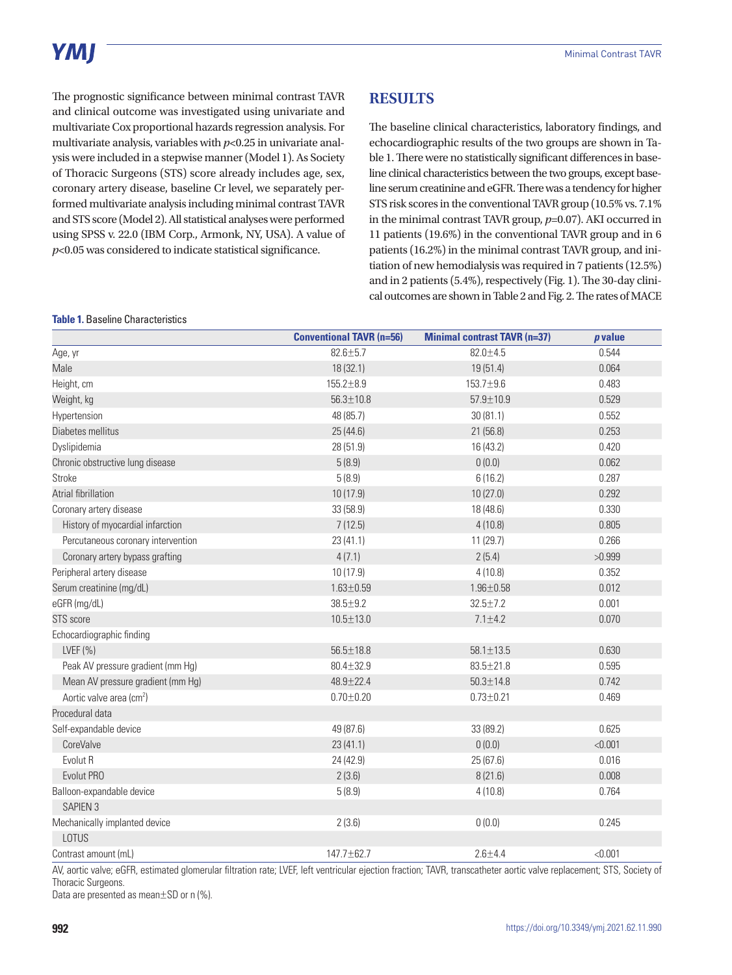The prognostic significance between minimal contrast TAVR and clinical outcome was investigated using univariate and multivariate Cox proportional hazards regression analysis. For multivariate analysis, variables with *p*<0.25 in univariate analysis were included in a stepwise manner (Model 1). As Society of Thoracic Surgeons (STS) score already includes age, sex, coronary artery disease, baseline Cr level, we separately performed multivariate analysis including minimal contrast TAVR and STS score (Model 2). All statistical analyses were performed using SPSS v. 22.0 (IBM Corp., Armonk, NY, USA). A value of *p*<0.05 was considered to indicate statistical significance.

## **RESULTS**

The baseline clinical characteristics, laboratory findings, and echocardiographic results of the two groups are shown in Table 1. There were no statistically significant differences in baseline clinical characteristics between the two groups, except baseline serum creatinine and eGFR. There was a tendency for higher STS risk scores in the conventional TAVR group (10.5% vs. 7.1% in the minimal contrast TAVR group, *p*=0.07). AKI occurred in 11 patients (19.6%) in the conventional TAVR group and in 6 patients (16.2%) in the minimal contrast TAVR group, and initiation of new hemodialysis was required in 7 patients (12.5%) and in 2 patients (5.4%), respectively (Fig. 1). The 30-day clinical outcomes are shown in Table 2 and Fig. 2. The rates of MACE

#### **Table 1.** Baseline Characteristics

|                                      | <b>Conventional TAVR (n=56)</b> | <b>Minimal contrast TAVR (n=37)</b> | $p$ value |
|--------------------------------------|---------------------------------|-------------------------------------|-----------|
| Age, yr                              | $82.6 + 5.7$                    | $82.0 + 4.5$                        | 0.544     |
| Male                                 | 18 (32.1)                       | 19 (51.4)                           | 0.064     |
| Height, cm                           | $155.2 + 8.9$                   | 153.7±9.6                           | 0.483     |
| Weight, kg                           | $56.3 \pm 10.8$                 | $57.9 \pm 10.9$                     | 0.529     |
| Hypertension                         | 48 (85.7)                       | 30(81.1)                            | 0.552     |
| Diabetes mellitus                    | 25 (44.6)                       | 21(56.8)                            | 0.253     |
| Dyslipidemia                         | 28 (51.9)                       | 16 (43.2)                           | 0.420     |
| Chronic obstructive lung disease     | 5(8.9)                          | 0(0.0)                              | 0.062     |
| Stroke                               | 5(8.9)                          | 6(16.2)                             | 0.287     |
| Atrial fibrillation                  | 10(17.9)                        | 10(27.0)                            | 0.292     |
| Coronary artery disease              | 33 (58.9)                       | 18 (48.6)                           | 0.330     |
| History of myocardial infarction     | 7(12.5)                         | 4(10.8)                             | 0.805     |
| Percutaneous coronary intervention   | 23 (41.1)                       | 11 (29.7)                           | 0.266     |
| Coronary artery bypass grafting      | 4(7.1)                          | 2(5.4)                              | >0.999    |
| Peripheral artery disease            | 10(17.9)                        | 4(10.8)                             | 0.352     |
| Serum creatinine (mg/dL)             | $1.63 \pm 0.59$                 | $1.96 \pm 0.58$                     | 0.012     |
| eGFR (mg/dL)                         | 38.5±9.2                        | $32.5 \pm 7.2$                      | 0.001     |
| STS score                            | $10.5 \pm 13.0$                 | $7.1 \pm 4.2$                       | 0.070     |
| Echocardiographic finding            |                                 |                                     |           |
| LVEF(%)                              | $56.5 \pm 18.8$                 | 58.1±13.5                           | 0.630     |
| Peak AV pressure gradient (mm Hg)    | 80.4±32.9                       | 83.5±21.8                           | 0.595     |
| Mean AV pressure gradient (mm Hg)    | 48.9±22.4                       | $50.3 \pm 14.8$                     | 0.742     |
| Aortic valve area (cm <sup>2</sup> ) | $0.70 + 0.20$                   | $0.73 \pm 0.21$                     | 0.469     |
| Procedural data                      |                                 |                                     |           |
| Self-expandable device               | 49 (87.6)                       | 33 (89.2)                           | 0.625     |
| CoreValve                            | 23(41.1)                        | 0(0.0)                              | < 0.001   |
| Evolut R                             | 24 (42.9)                       | 25(67.6)                            | 0.016     |
| Evolut PRO                           | 2(3.6)                          | 8(21.6)                             | 0.008     |
| Balloon-expandable device            | 5(8.9)<br>4(10.8)               |                                     | 0.764     |
| SAPIEN 3                             |                                 |                                     |           |
| Mechanically implanted device        | 2(3.6)                          | 0(0.0)                              | 0.245     |
| LOTUS                                |                                 |                                     |           |
| Contrast amount (mL)                 | 147.7±62.7                      | $2.6 + 4.4$                         | < 0.001   |

AV, aortic valve; eGFR, estimated glomerular filtration rate; LVEF, left ventricular ejection fraction; TAVR, transcatheter aortic valve replacement; STS, Society of Thoracic Surgeons.

Data are presented as mean±SD or n (%).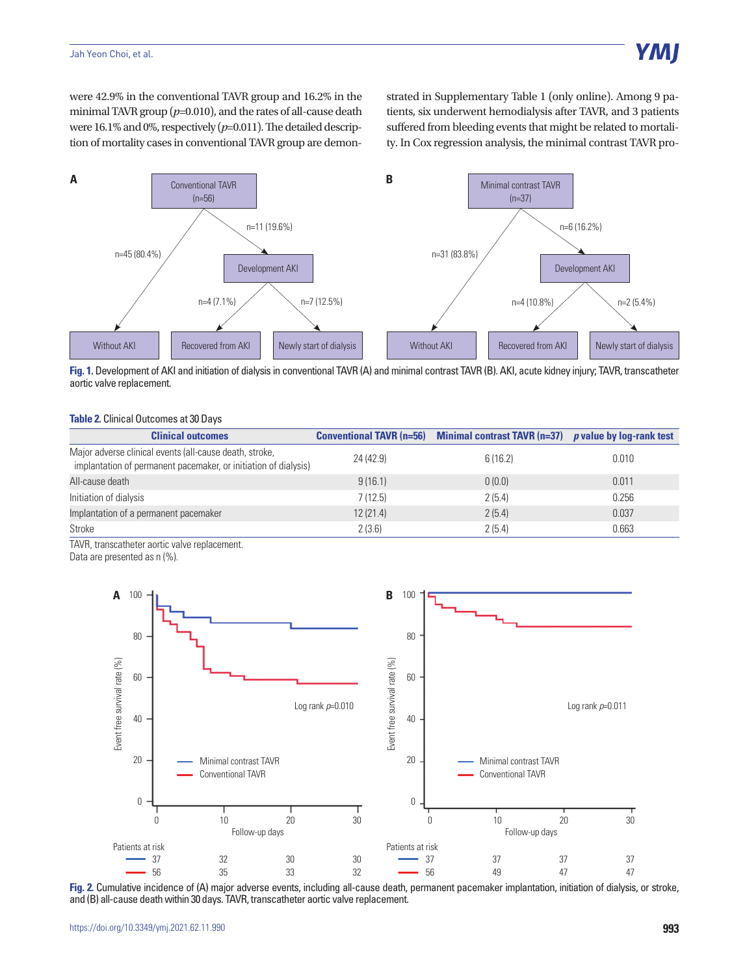were 42.9% in the conventional TAVR group and 16.2% in the minimal TAVR group  $(p=0.010)$ , and the rates of all-cause death were 16.1% and 0%, respectively (*p*=0.011). The detailed description of mortality cases in conventional TAVR group are demonstrated in Supplementary Table 1 (only online). Among 9 patients, six underwent hemodialysis after TAVR, and 3 patients suffered from bleeding events that might be related to mortality. In Cox regression analysis, the minimal contrast TAVR pro-



**Fig. 1.** Development of AKI and initiation of dialysis in conventional TAVR (A) and minimal contrast TAVR (B). AKI, acute kidney injury; TAVR, transcatheter aortic valve replacement.

#### **Table 2.** Clinical Outcomes at 30 Days

| <b>Clinical outcomes</b>                                                                                                   | <b>Conventional TAVR (n=56)</b> | <b>Minimal contrast TAVR <math>(n=37)</math></b> | <i>p</i> value by log-rank test |
|----------------------------------------------------------------------------------------------------------------------------|---------------------------------|--------------------------------------------------|---------------------------------|
| Major adverse clinical events (all-cause death, stroke,<br>implantation of permanent pacemaker, or initiation of dialysis) | 24 (42.9)                       | 6(16.2)                                          | 0.010                           |
| All-cause death                                                                                                            | 9(16.1)                         | 0(0.0)                                           | 0.011                           |
| Initiation of dialysis                                                                                                     | 7(12.5)                         | 2(5.4)                                           | 0.256                           |
| Implantation of a permanent pacemaker                                                                                      | 12(21.4)                        | 2(5.4)                                           | 0.037                           |
| Stroke                                                                                                                     | 2(3.6)                          | 2(5.4)                                           | 0.663                           |

TAVR, transcatheter aortic valve replacement. Data are presented as n (%).



**Fig. 2.** Cumulative incidence of (A) major adverse events, including all-cause death, permanent pacemaker implantation, initiation of dialysis, or stroke, and (B) all-cause death within 30 days. TAVR, transcatheter aortic valve replacement.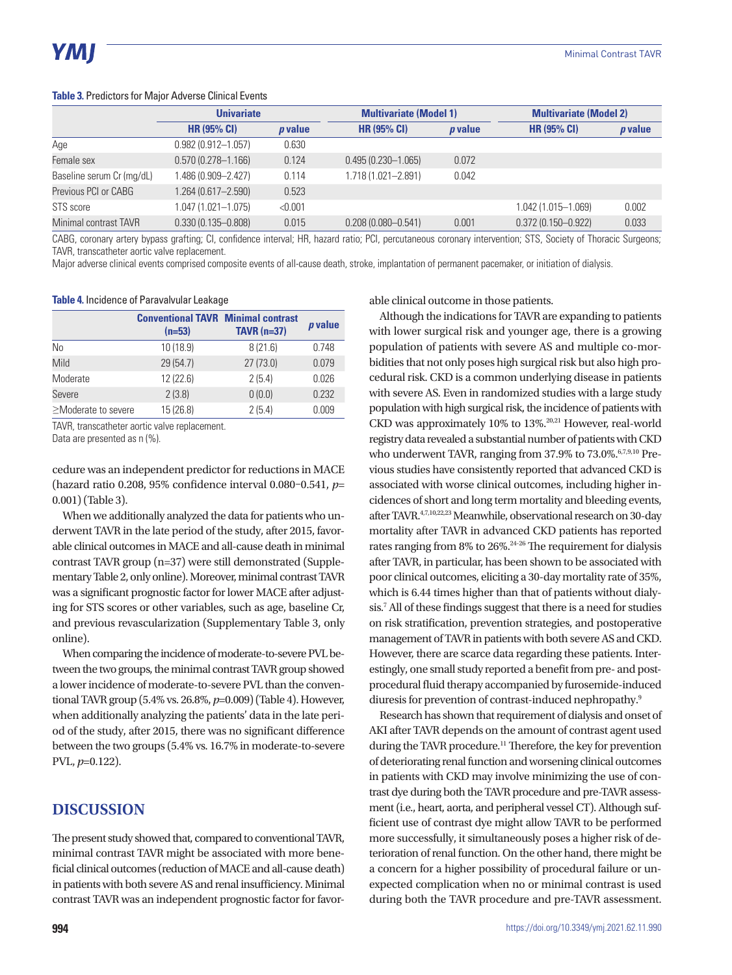#### **Table 3.** Predictors for Major Adverse Clinical Events

|                           | <b>Univariate</b>      |                | <b>Multivariate (Model 1)</b> |                | <b>Multivariate (Model 2)</b> |                |
|---------------------------|------------------------|----------------|-------------------------------|----------------|-------------------------------|----------------|
|                           | <b>HR (95% CI)</b>     | <i>p</i> value | <b>HR (95% CI)</b>            | <i>p</i> value | <b>HR (95% CI)</b>            | <i>p</i> value |
| Age                       | $0.982(0.912 - 1.057)$ | 0.630          |                               |                |                               |                |
| Female sex                | $0.570(0.278 - 1.166)$ | 0.124          | $0.495(0.230 - 1.065)$        | 0.072          |                               |                |
| Baseline serum Cr (mg/dL) | 1.486 (0.909-2.427)    | 0.114          | 1.718 (1.021-2.891)           | 0.042          |                               |                |
| Previous PCI or CABG      | 1.264 (0.617-2.590)    | 0.523          |                               |                |                               |                |
| STS score                 | 1.047 (1.021-1.075)    | < 0.001        |                               |                | 1.042 (1.015-1.069)           | 0.002          |
| Minimal contrast TAVR     | $0.330(0.135 - 0.808)$ | 0.015          | $0.208(0.080 - 0.541)$        | 0.001          | $0.372(0.150 - 0.922)$        | 0.033          |

CABG, coronary artery bypass grafting; CI, confidence interval; HR, hazard ratio; PCI, percutaneous coronary intervention; STS, Society of Thoracic Surgeons; TAVR, transcatheter aortic valve replacement.

Major adverse clinical events comprised composite events of all-cause death, stroke, implantation of permanent pacemaker, or initiation of dialysis.

#### **Table 4.** Incidence of Paravalvular Leakage

|                           | <b>Conventional TAVR Minimal contrast</b><br>$(n=53)$ | $TAVR(n=37)$ | <i>p</i> value |
|---------------------------|-------------------------------------------------------|--------------|----------------|
| No                        | 10 (18.9)                                             | 8(21.6)      | 0.748          |
| Mild                      | 29(54.7)                                              | 27(73.0)     | 0.079          |
| Moderate                  | 12(22.6)                                              | 2(5.4)       | 0.026          |
| Severe                    | 2(3.8)                                                | 0(0.0)       | 0.232          |
| $\geq$ Moderate to severe | 15 (26.8)                                             | 2(5.4)       | 0.009          |

TAVR, transcatheter aortic valve replacement.

Data are presented as n (%).

cedure was an independent predictor for reductions in MACE (hazard ratio 0.208, 95% confidence interval 0.080–0.541, *p*= 0.001) (Table 3).

When we additionally analyzed the data for patients who underwent TAVR in the late period of the study, after 2015, favorable clinical outcomes in MACE and all-cause death in minimal contrast TAVR group (n=37) were still demonstrated (Supplementary Table 2, only online). Moreover, minimal contrast TAVR was a significant prognostic factor for lower MACE after adjusting for STS scores or other variables, such as age, baseline Cr, and previous revascularization (Supplementary Table 3, only online).

When comparing the incidence of moderate-to-severe PVL between the two groups, the minimal contrast TAVR group showed a lower incidence of moderate-to-severe PVL than the conventional TAVR group (5.4% vs. 26.8%, *p*=0.009) (Table 4). However, when additionally analyzing the patients' data in the late period of the study, after 2015, there was no significant difference between the two groups (5.4% vs. 16.7% in moderate-to-severe PVL, *p*=0.122).

### **DISCUSSION**

The present study showed that, compared to conventional TAVR, minimal contrast TAVR might be associated with more beneficial clinical outcomes (reduction of MACE and all-cause death) in patients with both severe AS and renal insufficiency. Minimal contrast TAVR was an independent prognostic factor for favorable clinical outcome in those patients.

Although the indications for TAVR are expanding to patients with lower surgical risk and younger age, there is a growing population of patients with severe AS and multiple co-morbidities that not only poses high surgical risk but also high procedural risk. CKD is a common underlying disease in patients with severe AS. Even in randomized studies with a large study population with high surgical risk, the incidence of patients with CKD was approximately 10% to 13%.<sup>20,21</sup> However, real-world registry data revealed a substantial number of patients with CKD who underwent TAVR, ranging from  $37.9\%$  to  $73.0\%$ .<sup>6,7,9,10</sup> Previous studies have consistently reported that advanced CKD is associated with worse clinical outcomes, including higher incidences of short and long term mortality and bleeding events, after TAVR.4,7,10,22,23 Meanwhile, observational research on 30-day mortality after TAVR in advanced CKD patients has reported rates ranging from 8% to 26%.<sup>24-26</sup> The requirement for dialysis after TAVR, in particular, has been shown to be associated with poor clinical outcomes, eliciting a 30-day mortality rate of 35%, which is 6.44 times higher than that of patients without dialysis.7 All of these findings suggest that there is a need for studies on risk stratification, prevention strategies, and postoperative management of TAVR in patients with both severe AS and CKD. However, there are scarce data regarding these patients. Interestingly, one small study reported a benefit from pre- and postprocedural fluid therapy accompanied by furosemide-induced diuresis for prevention of contrast-induced nephropathy.9

Research has shown that requirement of dialysis and onset of AKI after TAVR depends on the amount of contrast agent used during the TAVR procedure.<sup>11</sup> Therefore, the key for prevention of deteriorating renal function and worsening clinical outcomes in patients with CKD may involve minimizing the use of contrast dye during both the TAVR procedure and pre-TAVR assessment (i.e., heart, aorta, and peripheral vessel CT). Although sufficient use of contrast dye might allow TAVR to be performed more successfully, it simultaneously poses a higher risk of deterioration of renal function. On the other hand, there might be a concern for a higher possibility of procedural failure or unexpected complication when no or minimal contrast is used during both the TAVR procedure and pre-TAVR assessment.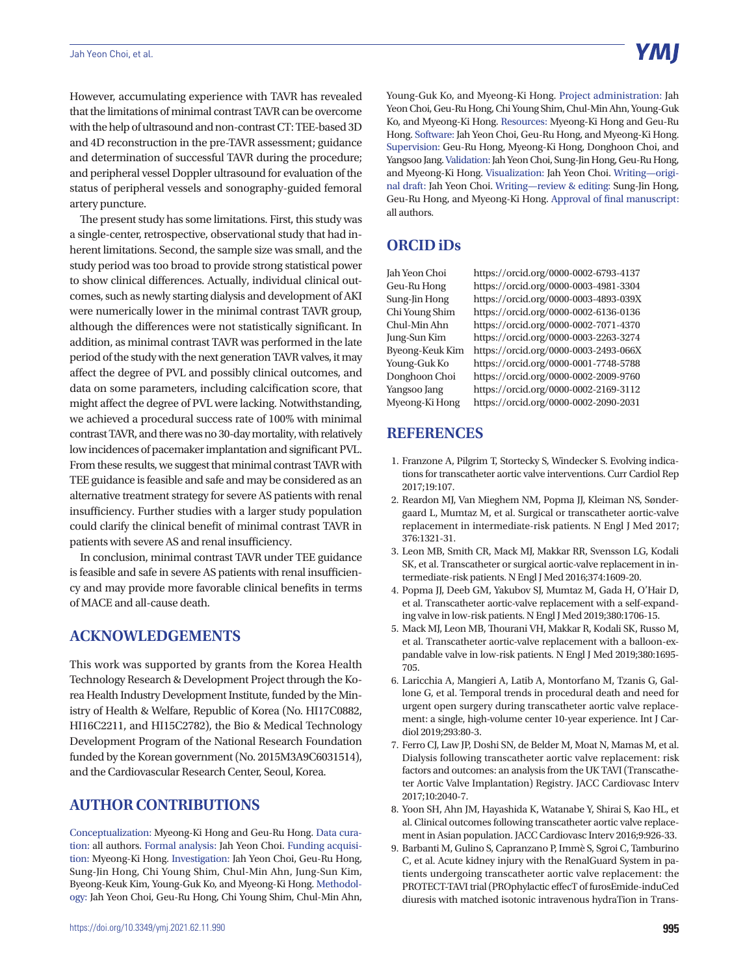However, accumulating experience with TAVR has revealed that the limitations of minimal contrast TAVR can be overcome with the help of ultrasound and non-contrast CT: TEE-based 3D and 4D reconstruction in the pre-TAVR assessment; guidance and determination of successful TAVR during the procedure; and peripheral vessel Doppler ultrasound for evaluation of the status of peripheral vessels and sonography-guided femoral artery puncture.

The present study has some limitations. First, this study was a single-center, retrospective, observational study that had inherent limitations. Second, the sample size was small, and the study period was too broad to provide strong statistical power to show clinical differences. Actually, individual clinical outcomes, such as newly starting dialysis and development of AKI were numerically lower in the minimal contrast TAVR group, although the differences were not statistically significant. In addition, as minimal contrast TAVR was performed in the late period of the study with the next generation TAVR valves, it may affect the degree of PVL and possibly clinical outcomes, and data on some parameters, including calcification score, that might affect the degree of PVL were lacking. Notwithstanding, we achieved a procedural success rate of 100% with minimal contrast TAVR, and there was no 30-day mortality, with relatively low incidences of pacemaker implantation and significant PVL. From these results, we suggest that minimal contrast TAVR with TEE guidance is feasible and safe and may be considered as an alternative treatment strategy for severe AS patients with renal insufficiency. Further studies with a larger study population could clarify the clinical benefit of minimal contrast TAVR in patients with severe AS and renal insufficiency.

In conclusion, minimal contrast TAVR under TEE guidance is feasible and safe in severe AS patients with renal insufficiency and may provide more favorable clinical benefits in terms of MACE and all-cause death.

## **ACKNOWLEDGEMENTS**

This work was supported by grants from the Korea Health Technology Research & Development Project through the Korea Health Industry Development Institute, funded by the Ministry of Health & Welfare, Republic of Korea (No. HI17C0882, HI16C2211, and HI15C2782), the Bio & Medical Technology Development Program of the National Research Foundation funded by the Korean government (No. 2015M3A9C6031514), and the Cardiovascular Research Center, Seoul, Korea.

## **AUTHOR CONTRIBUTIONS**

Conceptualization: Myeong-Ki Hong and Geu-Ru Hong. Data curation: all authors. Formal analysis: Jah Yeon Choi. Funding acquisition: Myeong-Ki Hong. Investigation: Jah Yeon Choi, Geu-Ru Hong, Sung-Jin Hong, Chi Young Shim, Chul-Min Ahn, Jung-Sun Kim, Byeong-Keuk Kim, Young-Guk Ko, and Myeong-Ki Hong. Methodology: Jah Yeon Choi, Geu-Ru Hong, Chi Young Shim, Chul-Min Ahn,

Young-Guk Ko, and Myeong-Ki Hong. Project administration: Jah Yeon Choi, Geu-Ru Hong, Chi Young Shim, Chul-Min Ahn, Young-Guk Ko, and Myeong-Ki Hong. Resources: Myeong-Ki Hong and Geu-Ru Hong. Software: Jah Yeon Choi, Geu-Ru Hong, and Myeong-Ki Hong. Supervision: Geu-Ru Hong, Myeong-Ki Hong, Donghoon Choi, and Yangsoo Jang. Validation: Jah Yeon Choi, Sung-Jin Hong, Geu-Ru Hong, and Myeong-Ki Hong. Visualization: Jah Yeon Choi. Writing—original draft: Jah Yeon Choi. Writing—review & editing: Sung-Jin Hong, Geu-Ru Hong, and Myeong-Ki Hong. Approval of final manuscript: all authors.

## **ORCID iDs**

Jah Yeon Choi https://orcid.org/0000-0002-6793-4137 Geu-Ru Hong https://orcid.org/0000-0003-4981-3304 Sung-Jin Hong https://orcid.org/0000-0003-4893-039X Chi Young Shim https://orcid.org/0000-0002-6136-0136 Chul-Min Ahn https://orcid.org/0000-0002-7071-4370 Jung-Sun Kim https://orcid.org/0000-0003-2263-3274 Byeong-Keuk Kim https://orcid.org/0000-0003-2493-066X Young-Guk Ko https://orcid.org/0000-0001-7748-5788 Donghoon Choi https://orcid.org/0000-0002-2009-9760 Yangsoo Jang https://orcid.org/0000-0002-2169-3112 Myeong-Ki Hong https://orcid.org/0000-0002-2090-2031

## **REFERENCES**

- 1. Franzone A, Pilgrim T, Stortecky S, Windecker S. Evolving indications for transcatheter aortic valve interventions. Curr Cardiol Rep 2017;19:107.
- 2. Reardon MJ, Van Mieghem NM, Popma JJ, Kleiman NS, Søndergaard L, Mumtaz M, et al. Surgical or transcatheter aortic-valve replacement in intermediate-risk patients. N Engl J Med 2017; 376:1321-31.
- 3. Leon MB, Smith CR, Mack MJ, Makkar RR, Svensson LG, Kodali SK, et al. Transcatheter or surgical aortic-valve replacement in intermediate-risk patients. N Engl J Med 2016;374:1609-20.
- 4. Popma JJ, Deeb GM, Yakubov SJ, Mumtaz M, Gada H, O'Hair D, et al. Transcatheter aortic-valve replacement with a self-expanding valve in low-risk patients. N Engl J Med 2019;380:1706-15.
- 5. Mack MJ, Leon MB, Thourani VH, Makkar R, Kodali SK, Russo M, et al. Transcatheter aortic-valve replacement with a balloon-expandable valve in low-risk patients. N Engl J Med 2019;380:1695- 705.
- 6. Laricchia A, Mangieri A, Latib A, Montorfano M, Tzanis G, Gallone G, et al. Temporal trends in procedural death and need for urgent open surgery during transcatheter aortic valve replacement: a single, high-volume center 10-year experience. Int J Cardiol 2019;293:80-3.
- 7. Ferro CJ, Law JP, Doshi SN, de Belder M, Moat N, Mamas M, et al. Dialysis following transcatheter aortic valve replacement: risk factors and outcomes: an analysis from the UK TAVI (Transcatheter Aortic Valve Implantation) Registry. JACC Cardiovasc Interv 2017;10:2040-7.
- 8. Yoon SH, Ahn JM, Hayashida K, Watanabe Y, Shirai S, Kao HL, et al. Clinical outcomes following transcatheter aortic valve replacement in Asian population. JACC Cardiovasc Interv 2016;9:926-33.
- 9. Barbanti M, Gulino S, Capranzano P, Immè S, Sgroi C, Tamburino C, et al. Acute kidney injury with the RenalGuard System in patients undergoing transcatheter aortic valve replacement: the PROTECT-TAVI trial (PROphylactic effecT of furosEmide-induCed diuresis with matched isotonic intravenous hydraTion in Trans-